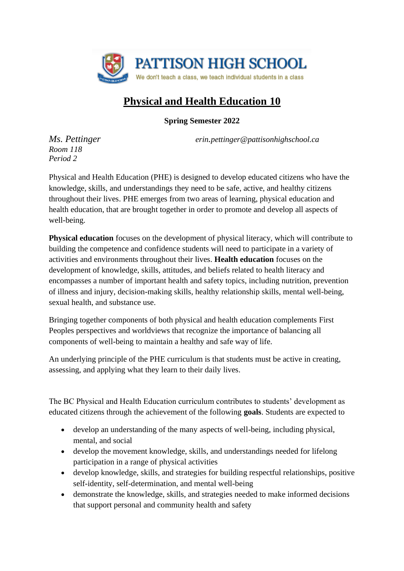

# **Physical and Health Education 10**

**Spring Semester 2022**

*Ms. Pettinger erin.pettinger@pattisonhighschool.ca*

*Room 118 Period 2*

Physical and Health Education (PHE) is designed to develop educated citizens who have the knowledge, skills, and understandings they need to be safe, active, and healthy citizens throughout their lives. PHE emerges from two areas of learning, physical education and health education, that are brought together in order to promote and develop all aspects of well-being.

**Physical education** focuses on the development of physical literacy, which will contribute to building the competence and confidence students will need to participate in a variety of activities and environments throughout their lives. **Health education** focuses on the development of knowledge, skills, attitudes, and beliefs related to health literacy and encompasses a number of important health and safety topics, including nutrition, prevention of illness and injury, decision-making skills, healthy relationship skills, mental well-being, sexual health, and substance use.

Bringing together components of both physical and health education complements First Peoples perspectives and worldviews that recognize the importance of balancing all components of well-being to maintain a healthy and safe way of life.

An underlying principle of the PHE curriculum is that students must be active in creating, assessing, and applying what they learn to their daily lives.

The BC Physical and Health Education curriculum contributes to students' development as educated citizens through the achievement of the following **goals**. Students are expected to

- develop an understanding of the many aspects of well-being, including physical, mental, and social
- develop the movement knowledge, skills, and understandings needed for lifelong participation in a range of physical activities
- develop knowledge, skills, and strategies for building respectful relationships, positive self-identity, self-determination, and mental well-being
- demonstrate the knowledge, skills, and strategies needed to make informed decisions that support personal and community health and safety